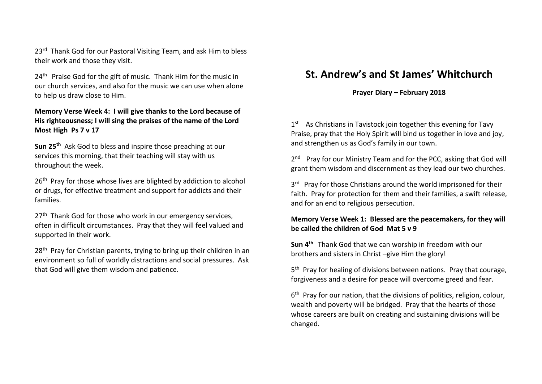23<sup>rd</sup> Thank God for our Pastoral Visiting Team, and ask Him to bless their work and those they visit.

24<sup>th</sup> Praise God for the gift of music. Thank Him for the music in our church services, and also for the music we can use when alone to help us draw close to Him.

## **Memory Verse Week 4: I will give thanks to the Lord because of His righteousness; I will sing the praises of the name of the Lord Most High Ps 7 v 17**

**Sun 25th** Ask God to bless and inspire those preaching at our services this morning, that their teaching will stay with us throughout the week.

26<sup>th</sup> Pray for those whose lives are blighted by addiction to alcohol or drugs, for effective treatment and support for addicts and their families.

27<sup>th</sup> Thank God for those who work in our emergency services, often in difficult circumstances. Pray that they will feel valued and supported in their work.

28<sup>th</sup> Pray for Christian parents, trying to bring up their children in an environment so full of worldly distractions and social pressures. Ask that God will give them wisdom and patience.

# **St. Andrew's and St James' Whitchurch**

#### **Prayer Diary – February 2018**

1<sup>st</sup> As Christians in Tavistock join together this evening for Tavy Praise, pray that the Holy Spirit will bind us together in love and joy, and strengthen us as God's family in our town.

2<sup>nd</sup> Pray for our Ministry Team and for the PCC, asking that God will grant them wisdom and discernment as they lead our two churches.

3<sup>rd</sup> Pray for those Christians around the world imprisoned for their faith. Pray for protection for them and their families, a swift release, and for an end to religious persecution.

### **Memory Verse Week 1: Blessed are the peacemakers, for they will be called the children of God Mat 5 v 9**

**Sun 4 th** Thank God that we can worship in freedom with our brothers and sisters in Christ –give Him the glory!

5<sup>th</sup> Pray for healing of divisions between nations. Pray that courage, forgiveness and a desire for peace will overcome greed and fear.

6<sup>th</sup> Pray for our nation, that the divisions of politics, religion, colour, wealth and poverty will be bridged. Pray that the hearts of those whose careers are built on creating and sustaining divisions will be changed.